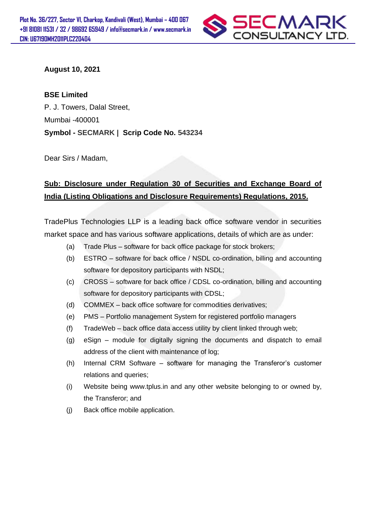

**August 10, 2021**

**BSE Limited** 

P. J. Towers, Dalal Street, Mumbai -400001 **Symbol - SECMARK | Scrip Code No. 543234**

Dear Sirs / Madam,

## **Sub: Disclosure under Regulation 30 of Securities and Exchange Board of India (Listing Obligations and Disclosure Requirements) Regulations, 2015.**

TradePlus Technologies LLP is a leading back office software vendor in securities market space and has various software applications, details of which are as under:

- (a) Trade Plus software for back office package for stock brokers;
- (b) ESTRO software for back office / NSDL co-ordination, billing and accounting software for depository participants with NSDL;
- (c) CROSS software for back office / CDSL co-ordination, billing and accounting software for depository participants with CDSL;
- (d) COMMEX back office software for commodities derivatives;
- (e) PMS Portfolio management System for registered portfolio managers
- (f) TradeWeb back office data access utility by client linked through web;
- (g) eSign module for digitally signing the documents and dispatch to email address of the client with maintenance of log;
- (h) Internal CRM Software software for managing the Transferor's customer relations and queries;
- (i) Website being www.tplus.in and any other website belonging to or owned by, the Transferor; and
- (j) Back office mobile application.